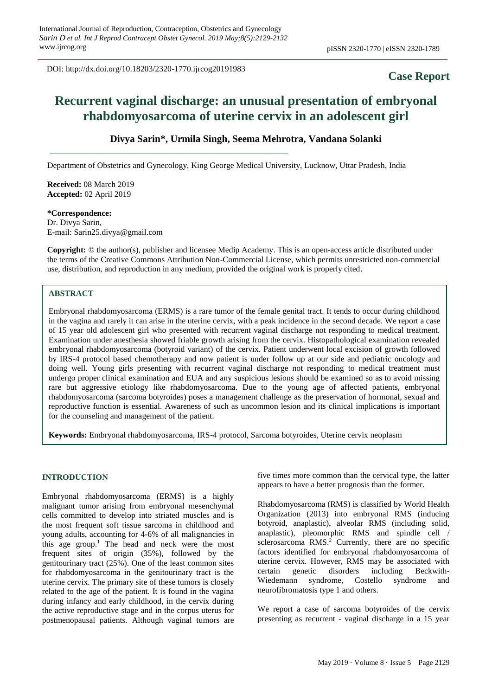DOI: http://dx.doi.org/10.18203/2320-1770.ijrcog20191983

## **Case Report**

# **Recurrent vaginal discharge: an unusual presentation of embryonal rhabdomyosarcoma of uterine cervix in an adolescent girl**

### **Divya Sarin\*, Urmila Singh, Seema Mehrotra, Vandana Solanki**

Department of Obstetrics and Gynecology, King George Medical University, Lucknow, Uttar Pradesh, India

**Received:** 08 March 2019 **Accepted:** 02 April 2019

#### **\*Correspondence:**

Dr. Divya Sarin, E-mail: Sarin25.divya@gmail.com

**Copyright:** © the author(s), publisher and licensee Medip Academy. This is an open-access article distributed under the terms of the Creative Commons Attribution Non-Commercial License, which permits unrestricted non-commercial use, distribution, and reproduction in any medium, provided the original work is properly cited.

## **ABSTRACT**

Embryonal rhabdomyosarcoma (ERMS) is a rare tumor of the female genital tract. It tends to occur during childhood in the vagina and rarely it can arise in the uterine cervix, with a peak incidence in the second decade. We report a case of 15 year old adolescent girl who presented with recurrent vaginal discharge not responding to medical treatment. Examination under anesthesia showed friable growth arising from the cervix. Histopathological examination revealed embryonal rhabdomyosarcoma (botyroid variant) of the cervix. Patient underwent local excision of growth followed by IRS-4 protocol based chemotherapy and now patient is under follow up at our side and pediatric oncology and doing well. Young girls presenting with recurrent vaginal discharge not responding to medical treatment must undergo proper clinical examination and EUA and any suspicious lesions should be examined so as to avoid missing rare but aggressive etiology like rhabdomyosarcoma. Due to the young age of affected patients, embryonal rhabdomyosarcoma (sarcoma botyroides) poses a management challenge as the preservation of hormonal, sexual and reproductive function is essential. Awareness of such as uncommon lesion and its clinical implications is important for the counseling and management of the patient.

**Keywords:** Embryonal rhabdomyosarcoma, IRS-4 protocol, Sarcoma botyroides, Uterine cervix neoplasm

#### **INTRODUCTION**

Embryonal rhabdomyosarcoma (ERMS) is a highly malignant tumor arising from embryonal mesenchymal cells committed to develop into striated muscles and is the most frequent soft tissue sarcoma in childhood and young adults, accounting for 4-6% of all malignancies in this age group.<sup>1</sup> The head and neck were the most frequent sites of origin (35%), followed by the genitourinary tract (25%). One of the least common sites for rhabdomyosarcoma in the genitourinary tract is the uterine cervix. The primary site of these tumors is closely related to the age of the patient. It is found in the vagina during infancy and early childhood, in the cervix during the active reproductive stage and in the corpus uterus for postmenopausal patients. Although vaginal tumors are five times more common than the cervical type, the latter appears to have a better prognosis than the former.

Rhabdomyosarcoma (RMS) is classified by World Health Organization (2013) into embryonal RMS (inducing botyroid, anaplastic), alveolar RMS (including solid, anaplastic), pleomorphic RMS and spindle cell / sclerosarcoma RMS. <sup>2</sup> Currently, there are no specific factors identified for embryonal rhabdomyosarcoma of uterine cervix. However, RMS may be associated with certain genetic disorders including Beckwith-Wiedemann syndrome, Costello syndrome and neurofibromatosis type 1 and others.

We report a case of sarcoma botyroides of the cervix presenting as recurrent - vaginal discharge in a 15 year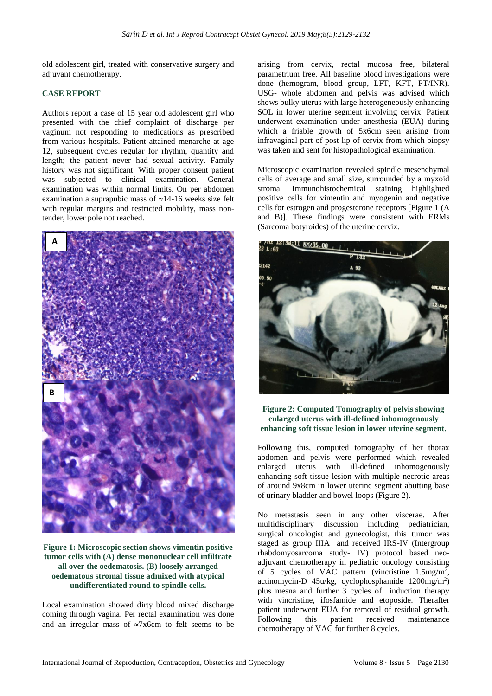old adolescent girl, treated with conservative surgery and adjuvant chemotherapy.

#### **CASE REPORT**

Authors report a case of 15 year old adolescent girl who presented with the chief complaint of discharge per vaginum not responding to medications as prescribed from various hospitals. Patient attained menarche at age 12, subsequent cycles regular for rhythm, quantity and length; the patient never had sexual activity. Family history was not significant. With proper consent patient was subjected to clinical examination. General examination was within normal limits. On per abdomen examination a suprapubic mass of  $\approx$ 14-16 weeks size felt with regular margins and restricted mobility, mass nontender, lower pole not reached.



**Figure 1: Microscopic section shows vimentin positive tumor cells with (A) dense mononuclear cell infiltrate all over the oedematosis. (B) loosely arranged oedematous stromal tissue admixed with atypical undifferentiated round to spindle cells.**

Local examination showed dirty blood mixed discharge coming through vagina. Per rectal examination was done and an irregular mass of  $\approx 7x6$ cm to felt seems to be

arising from cervix, rectal mucosa free, bilateral parametrium free. All baseline blood investigations were done (hemogram, blood group, LFT, KFT, PT/INR). USG- whole abdomen and pelvis was advised which shows bulky uterus with large heterogeneously enhancing SOL in lower uterine segment involving cervix. Patient underwent examination under anesthesia (EUA) during which a friable growth of 5x6cm seen arising from infravaginal part of post lip of cervix from which biopsy was taken and sent for histopathological examination.

Microscopic examination revealed spindle mesenchymal cells of average and small size, surrounded by a myxoid stroma. Immunohistochemical staining highlighted positive cells for vimentin and myogenin and negative cells for estrogen and progesterone receptors [Figure 1 (A and B)]. These findings were consistent with ERMs (Sarcoma botyroides) of the uterine cervix.



**Figure 2: Computed Tomography of pelvis showing enlarged uterus with ill-defined inhomogenously enhancing soft tissue lesion in lower uterine segment.**

Following this, computed tomography of her thorax abdomen and pelvis were performed which revealed enlarged uterus with ill-defined inhomogenously enhancing soft tissue lesion with multiple necrotic areas of around 9x8cm in lower uterine segment abutting base of urinary bladder and bowel loops (Figure 2).

No metastasis seen in any other viscerae. After multidisciplinary discussion including pediatrician, surgical oncologist and gynecologist, this tumor was staged as group IIIA and received IRS-IV (Intergroup rhabdomyosarcoma study- IV) protocol based neoadjuvant chemotherapy in pediatric oncology consisting of 5 cycles of VAC pattern (vincristine 1.5mg/m<sup>2</sup> , actinomycin-D 45u/kg, cyclophosphamide 1200mg/m<sup>2</sup> ) plus mesna and further 3 cycles of induction therapy with vincristine, ifosfamide and etoposide. Therafter patient underwent EUA for removal of residual growth. Following this patient received maintenance chemotherapy of VAC for further 8 cycles.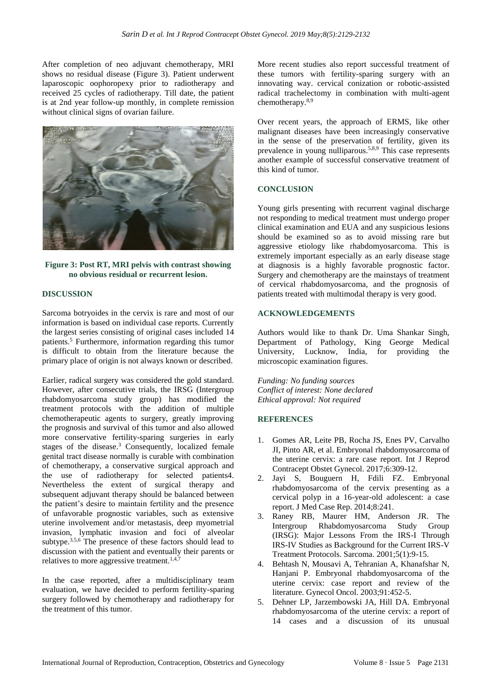After completion of neo adjuvant chemotherapy, MRI shows no residual disease (Figure 3). Patient underwent laparoscopic oophoropexy prior to radiotherapy and received 25 cycles of radiotherapy. Till date, the patient is at 2nd year follow-up monthly, in complete remission without clinical signs of ovarian failure.



**Figure 3: Post RT, MRI pelvis with contrast showing no obvious residual or recurrent lesion.**

#### **DISCUSSION**

Sarcoma botryoides in the cervix is rare and most of our information is based on individual case reports. Currently the largest series consisting of original cases included 14 patients.<sup>5</sup> Furthermore, information regarding this tumor is difficult to obtain from the literature because the primary place of origin is not always known or described.

Earlier, radical surgery was considered the gold standard. However, after consecutive trials, the IRSG (Intergroup rhabdomyosarcoma study group) has modified the treatment protocols with the addition of multiple chemotherapeutic agents to surgery, greatly improving the prognosis and survival of this tumor and also allowed more conservative fertility-sparing surgeries in early stages of the disease. <sup>3</sup> Consequently, localized female genital tract disease normally is curable with combination of chemotherapy, a conservative surgical approach and the use of radiotherapy for selected patients4. Nevertheless the extent of surgical therapy and subsequent adjuvant therapy should be balanced between the patient's desire to maintain fertility and the presence of unfavorable prognostic variables, such as extensive uterine involvement and/or metastasis, deep myometrial invasion, lymphatic invasion and foci of alveolar subtype.<sup>3,5,6</sup> The presence of these factors should lead to discussion with the patient and eventually their parents or relatives to more aggressive treatment.<sup>1,4,7</sup>

In the case reported, after a multidisciplinary team evaluation, we have decided to perform fertility-sparing surgery followed by chemotherapy and radiotherapy for the treatment of this tumor.

More recent studies also report successful treatment of these tumors with fertility-sparing surgery with an innovating way. cervical conization or robotic-assisted radical trachelectomy in combination with multi-agent chemotherapy.8,9

Over recent years, the approach of ERMS, like other malignant diseases have been increasingly conservative in the sense of the preservation of fertility, given its prevalence in young nulliparous.5,8,9 This case represents another example of successful conservative treatment of this kind of tumor.

#### **CONCLUSION**

Young girls presenting with recurrent vaginal discharge not responding to medical treatment must undergo proper clinical examination and EUA and any suspicious lesions should be examined so as to avoid missing rare but aggressive etiology like rhabdomyosarcoma. This is extremely important especially as an early disease stage at diagnosis is a highly favorable prognostic factor. Surgery and chemotherapy are the mainstays of treatment of cervical rhabdomyosarcoma, and the prognosis of patients treated with multimodal therapy is very good.

#### **ACKNOWLEDGEMENTS**

Authors would like to thank Dr. Uma Shankar Singh, Department of Pathology, King George Medical University, Lucknow, India, for providing the microscopic examination figures.

*Funding: No funding sources Conflict of interest: None declared Ethical approval: Not required*

#### **REFERENCES**

- 1. Gomes AR, Leite PB, Rocha JS, Enes PV, Carvalho JI, Pinto AR, et al. Embryonal rhabdomyosarcoma of the uterine cervix: a rare case report. Int J Reprod Contracept Obstet Gynecol. 2017;6:309-12.
- 2. Jayi S, Bouguern H, Fdili FZ. Embryonal rhabdomyosarcoma of the cervix presenting as a cervical polyp in a 16-year-old adolescent: a case report. J Med Case Rep. 2014;8:241.
- 3. Raney RB, Maurer HM, Anderson JR. The Intergroup Rhabdomyosarcoma Study Group (IRSG): Major Lessons From the IRS-I Through IRS-IV Studies as Background for the Current IRS-V Treatment Protocols. Sarcoma. 2001;5(1):9-15.
- 4. Behtash N, Mousavi A, Tehranian A, Khanafshar N, Hanjani P. Embryonal rhabdomyosarcoma of the uterine cervix: case report and review of the literature. Gynecol Oncol. 2003;91:452-5.
- 5. Dehner LP, Jarzembowski JA, Hill DA. Embryonal rhabdomyosarcoma of the uterine cervix: a report of 14 cases and a discussion of its unusual